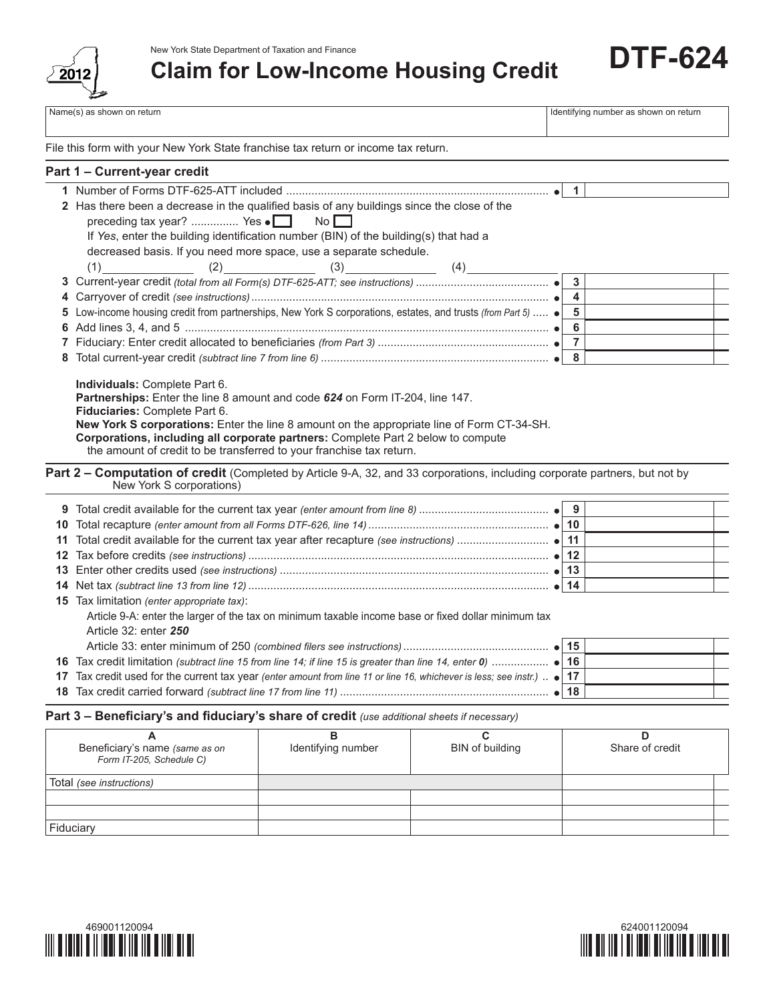

New York State Department of Taxation and Finance

**Claim for Low-Income Housing Credit**

Name(s) as shown on return and the state of the state of the state of the state of the state of the state of the state of the state of the state of the state of the state of the state of the state of the state of the state

**DTF-624**

File this form with your New York State franchise tax return or income tax return.

## **Part 1 – Current-year credit**

|    |                                                                                                                                                                                                                                                                                                                                                                                                          | $\blacktriangleleft$    |
|----|----------------------------------------------------------------------------------------------------------------------------------------------------------------------------------------------------------------------------------------------------------------------------------------------------------------------------------------------------------------------------------------------------------|-------------------------|
|    | 2 Has there been a decrease in the qualified basis of any buildings since the close of the                                                                                                                                                                                                                                                                                                               |                         |
|    | preceding tax year?  Yes $\bullet$<br>$N$ o $\Box$                                                                                                                                                                                                                                                                                                                                                       |                         |
|    | If Yes, enter the building identification number (BIN) of the building(s) that had a                                                                                                                                                                                                                                                                                                                     |                         |
|    | decreased basis. If you need more space, use a separate schedule.                                                                                                                                                                                                                                                                                                                                        |                         |
|    | $(3)$ $(4)$<br>(1)<br>(2)                                                                                                                                                                                                                                                                                                                                                                                |                         |
|    |                                                                                                                                                                                                                                                                                                                                                                                                          | $\overline{\mathbf{3}}$ |
| 4  |                                                                                                                                                                                                                                                                                                                                                                                                          | $\overline{4}$          |
| 5  | Low-income housing credit from partnerships, New York S corporations, estates, and trusts (from Part 5)  • 5                                                                                                                                                                                                                                                                                             |                         |
| 6  |                                                                                                                                                                                                                                                                                                                                                                                                          |                         |
|    |                                                                                                                                                                                                                                                                                                                                                                                                          |                         |
|    |                                                                                                                                                                                                                                                                                                                                                                                                          |                         |
|    | Individuals: Complete Part 6.<br>Partnerships: Enter the line 8 amount and code 624 on Form IT-204, line 147.<br>Fiduciaries: Complete Part 6.<br>New York S corporations: Enter the line 8 amount on the appropriate line of Form CT-34-SH.<br>Corporations, including all corporate partners: Complete Part 2 below to compute<br>the amount of credit to be transferred to your franchise tax return. |                         |
|    | Part 2 – Computation of credit (Completed by Article 9-A, 32, and 33 corporations, including corporate partners, but not by<br>New York S corporations)                                                                                                                                                                                                                                                  |                         |
|    |                                                                                                                                                                                                                                                                                                                                                                                                          |                         |
| 10 |                                                                                                                                                                                                                                                                                                                                                                                                          |                         |
|    |                                                                                                                                                                                                                                                                                                                                                                                                          |                         |
|    |                                                                                                                                                                                                                                                                                                                                                                                                          |                         |
|    |                                                                                                                                                                                                                                                                                                                                                                                                          |                         |
|    |                                                                                                                                                                                                                                                                                                                                                                                                          |                         |
|    | <b>15</b> Tax limitation (enter appropriate tax):                                                                                                                                                                                                                                                                                                                                                        |                         |
|    | Article 9-A: enter the larger of the tax on minimum taxable income base or fixed dollar minimum tax<br>Article 32: enter 250                                                                                                                                                                                                                                                                             |                         |
|    |                                                                                                                                                                                                                                                                                                                                                                                                          |                         |
|    | 16 Tax credit limitation (subtract line 15 from line 14; if line 15 is greater than line 14, enter 0)  • 16                                                                                                                                                                                                                                                                                              |                         |
|    | 17 Tax credit used for the current tax year (enter amount from line 11 or line 16, whichever is less; see instr.)  • 17                                                                                                                                                                                                                                                                                  |                         |
|    |                                                                                                                                                                                                                                                                                                                                                                                                          |                         |
|    |                                                                                                                                                                                                                                                                                                                                                                                                          |                         |

## **Part 3 – Beneficiary's and fiduciary's share of credit** *(use additional sheets if necessary)*

| Beneficiary's name (same as on<br>Form IT-205, Schedule C) | Identifying number | BIN of building | Share of credit |
|------------------------------------------------------------|--------------------|-----------------|-----------------|
| Total (see instructions)                                   |                    |                 |                 |
|                                                            |                    |                 |                 |
|                                                            |                    |                 |                 |
| Fiduciary                                                  |                    |                 |                 |